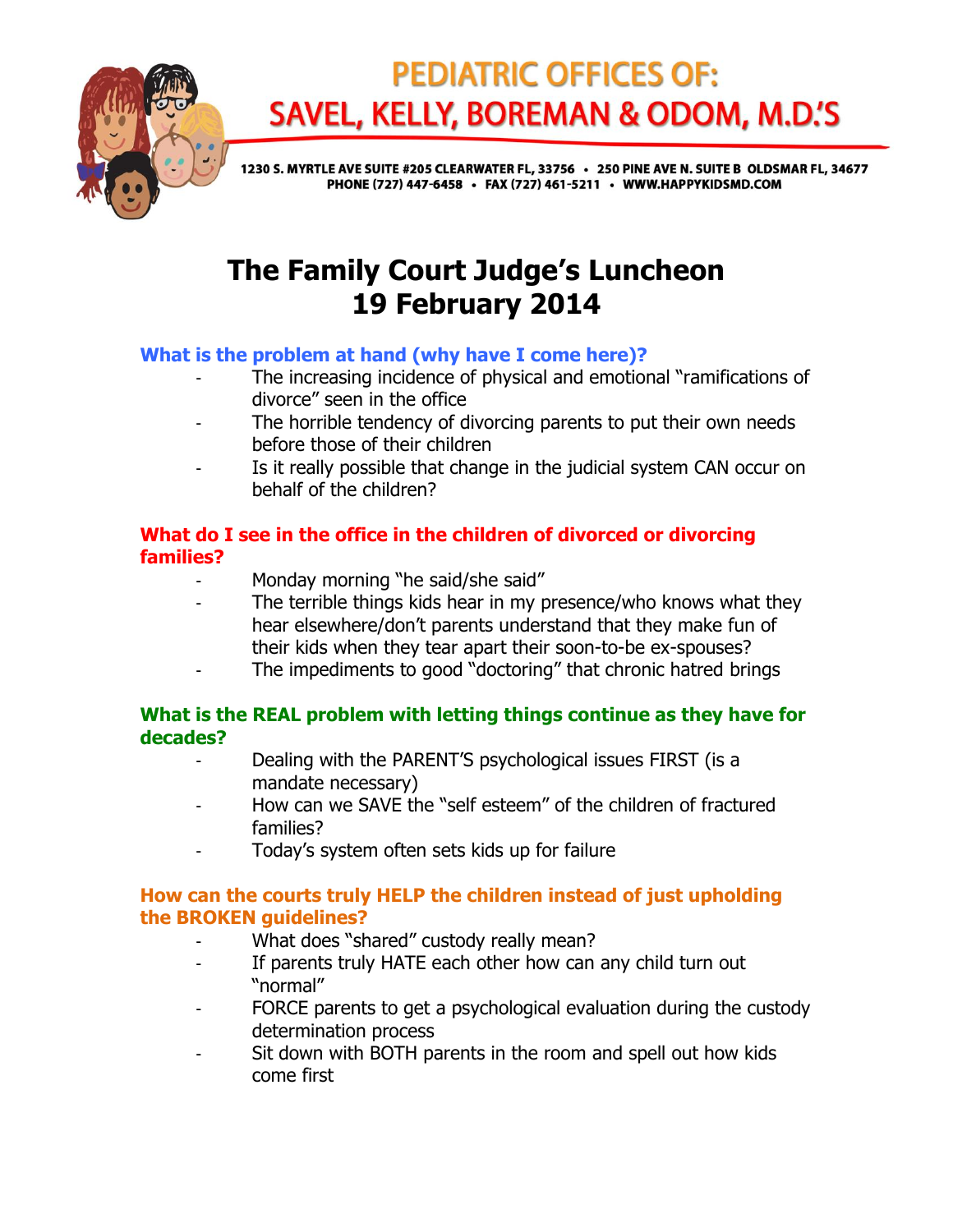

# **PEDIATRIC OFFICES OF: SAVEL, KELLY, BOREMAN & ODOM, M.D.'S**

1230 S. MYRTLE AVE SUITE #205 CLEARWATER FL, 33756 · 250 PINE AVE N. SUITE B OLDSMAR FL, 34677 PHONE (727) 447-6458 · FAX (727) 461-5211 · WWW.HAPPYKIDSMD.COM

# **The Family Court Judge's Luncheon 19 February 2014**

## **What is the problem at hand (why have I come here)?**

- The increasing incidence of physical and emotional "ramifications of divorce" seen in the office
- The horrible tendency of divorcing parents to put their own needs before those of their children
- Is it really possible that change in the judicial system CAN occur on behalf of the children?

## **What do I see in the office in the children of divorced or divorcing families?**

- Monday morning "he said/she said"
- The terrible things kids hear in my presence/who knows what they hear elsewhere/don't parents understand that they make fun of their kids when they tear apart their soon-to-be ex-spouses?
- The impediments to good "doctoring" that chronic hatred brings

#### **What is the REAL problem with letting things continue as they have for decades?**

- Dealing with the PARENT'S psychological issues FIRST (is a mandate necessary)
- How can we SAVE the "self esteem" of the children of fractured families?
- Today's system often sets kids up for failure

## **How can the courts truly HELP the children instead of just upholding the BROKEN guidelines?**

- What does "shared" custody really mean?
- If parents truly HATE each other how can any child turn out "normal"
- FORCE parents to get a psychological evaluation during the custody determination process
- Sit down with BOTH parents in the room and spell out how kids come first